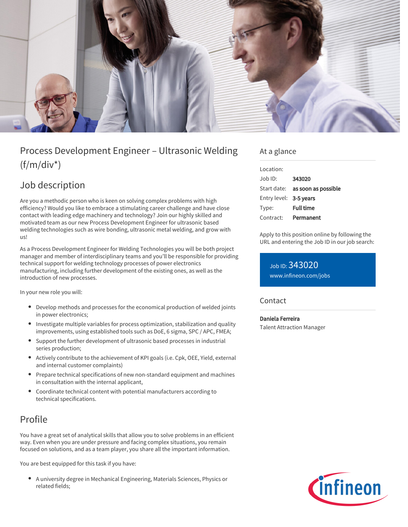

# Process Development Engineer – Ultrasonic Welding  $(f/m/div^*)$

# Job description

Are you a methodic person who is keen on solving complex problems with high efficiency? Would you like to embrace a stimulating career challenge and have close contact with leading edge machinery and technology? Join our highly skilled and motivated team as our new Process Development Engineer for ultrasonic based welding technologies such as wire bonding, ultrasonic metal welding, and grow with us!

As a Process Development Engineer for Welding Technologies you will be both project manager and member of interdisciplinary teams and you'll be responsible for providing technical support for welding technology processes of power electronics manufacturing, including further development of the existing ones, as well as the introduction of new processes.

In your new role you will:

- Develop methods and processes for the economical production of welded joints in power electronics;
- Investigate multiple variables for process optimization, stabilization and quality improvements, using established tools such as DoE, 6 sigma, SPC / APC, FMEA;
- Support the further development of ultrasonic based processes in industrial series production;
- Actively contribute to the achievement of KPI goals (i.e. Cpk, OEE, Yield, external and internal customer complaints)
- Prepare technical specifications of new non-standard equipment and machines in consultation with the internal applicant,
- Coordinate technical content with potential manufacturers according to technical specifications.

## Profile

You have a great set of analytical skills that allow you to solve problems in an efficient way. Even when you are under pressure and facing complex situations, you remain focused on solutions, and as a team player, you share all the important information.

You are best equipped for this task if you have:

A university degree in Mechanical Engineering, Materials Sciences, Physics or related fields;

#### At a glance

| Location:              |                                        |
|------------------------|----------------------------------------|
| Job ID:                | 343020                                 |
|                        | Start date: <b>as soon as possible</b> |
| Entry level: 3-5 years |                                        |
| Type:                  | <b>Full time</b>                       |
| Contract:              | Permanent                              |

Apply to this position online by following the URL and entering the Job ID in our job search:

Job ID: 343020 [www.infineon.com/jobs](https://www.infineon.com/jobs)

#### **Contact**

Daniela Ferreira Talent Attraction Manager